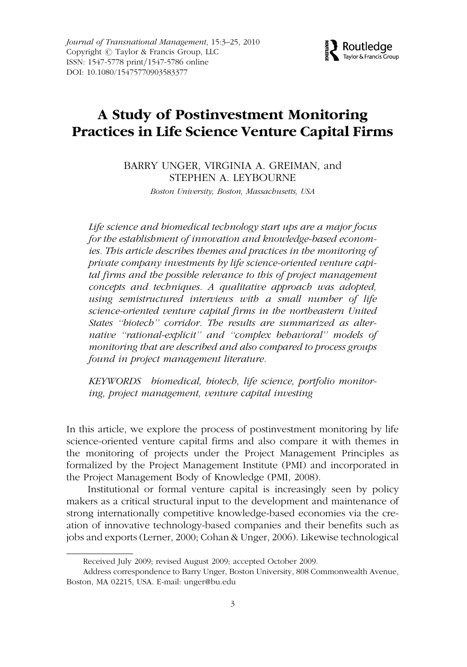

# A Study of Postinvestment Monitoring Practices in Life Science Venture Capital Firms

BARRY UNGER, VIRGINIA A. GREIMAN, and STEPHEN A. LEYBOURNE

Boston University, Boston, Massachusetts, USA

Life science and biomedical technology start ups are a major focus for the establishment of innovation and knowledge-based economies. This article describes themes and practices in the monitoring of private company investments by life science-oriented venture capital firms and the possible relevance to this of project management concepts and techniques. A qualitative approach was adopted, using semistructured interviews with a small number of life science-oriented venture capital firms in the northeastern United States ''biotech'' corridor. The results are summarized as alternative ''rational-explicit'' and ''complex behavioral'' models of monitoring that are described and also compared to process groups found in project management literature.

KEYWORDS biomedical, biotech, life science, portfolio monitoring, project management, venture capital investing

In this article, we explore the process of postinvestment monitoring by life science-oriented venture capital firms and also compare it with themes in the monitoring of projects under the Project Management Principles as formalized by the Project Management Institute (PMI) and incorporated in the Project Management Body of Knowledge (PMI, 2008).

Institutional or formal venture capital is increasingly seen by policy makers as a critical structural input to the development and maintenance of strong internationally competitive knowledge-based economies via the creation of innovative technology-based companies and their benefits such as jobs and exports (Lerner, 2000; Cohan & Unger, 2006). Likewise technological

Received July 2009; revised August 2009; accepted October 2009.

Address correspondence to Barry Unger, Boston University, 808 Commonwealth Avenue, Boston, MA 02215, USA. E-mail: unger@bu.edu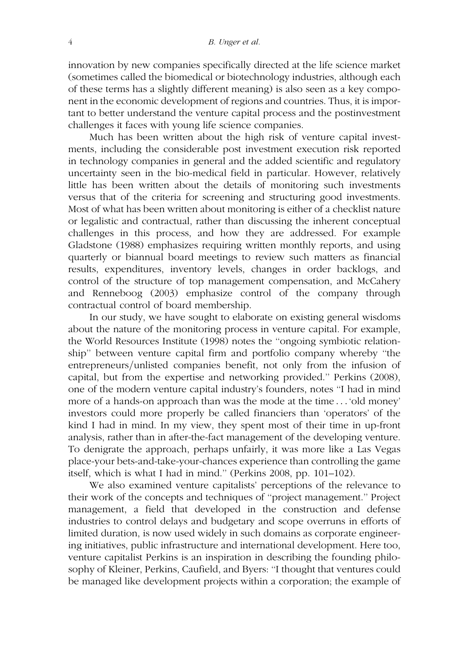innovation by new companies specifically directed at the life science market (sometimes called the biomedical or biotechnology industries, although each of these terms has a slightly different meaning) is also seen as a key component in the economic development of regions and countries. Thus, it is important to better understand the venture capital process and the postinvestment challenges it faces with young life science companies.

Much has been written about the high risk of venture capital investments, including the considerable post investment execution risk reported in technology companies in general and the added scientific and regulatory uncertainty seen in the bio-medical field in particular. However, relatively little has been written about the details of monitoring such investments versus that of the criteria for screening and structuring good investments. Most of what has been written about monitoring is either of a checklist nature or legalistic and contractual, rather than discussing the inherent conceptual challenges in this process, and how they are addressed. For example Gladstone (1988) emphasizes requiring written monthly reports, and using quarterly or biannual board meetings to review such matters as financial results, expenditures, inventory levels, changes in order backlogs, and control of the structure of top management compensation, and McCahery and Renneboog (2003) emphasize control of the company through contractual control of board membership.

In our study, we have sought to elaborate on existing general wisdoms about the nature of the monitoring process in venture capital. For example, the World Resources Institute (1998) notes the ''ongoing symbiotic relationship'' between venture capital firm and portfolio company whereby ''the entrepreneurs/unlisted companies benefit, not only from the infusion of capital, but from the expertise and networking provided.'' Perkins (2008), one of the modern venture capital industry's founders, notes ''I had in mind more of a hands-on approach than was the mode at the time ... 'old money' investors could more properly be called financiers than 'operators' of the kind I had in mind. In my view, they spent most of their time in up-front analysis, rather than in after-the-fact management of the developing venture. To denigrate the approach, perhaps unfairly, it was more like a Las Vegas place-your bets-and-take-your-chances experience than controlling the game itself, which is what I had in mind.'' (Perkins 2008, pp. 101–102).

We also examined venture capitalists' perceptions of the relevance to their work of the concepts and techniques of ''project management.'' Project management, a field that developed in the construction and defense industries to control delays and budgetary and scope overruns in efforts of limited duration, is now used widely in such domains as corporate engineering initiatives, public infrastructure and international development. Here too, venture capitalist Perkins is an inspiration in describing the founding philosophy of Kleiner, Perkins, Caufield, and Byers: ''I thought that ventures could be managed like development projects within a corporation; the example of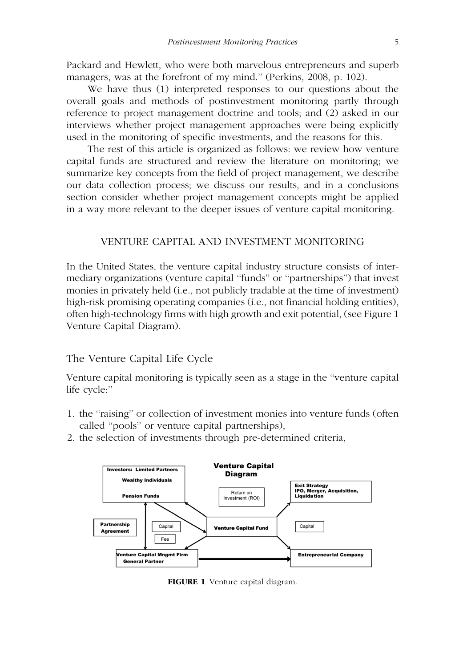Packard and Hewlett, who were both marvelous entrepreneurs and superb managers, was at the forefront of my mind.'' (Perkins, 2008, p. 102).

We have thus (1) interpreted responses to our questions about the overall goals and methods of postinvestment monitoring partly through reference to project management doctrine and tools; and (2) asked in our interviews whether project management approaches were being explicitly used in the monitoring of specific investments, and the reasons for this.

The rest of this article is organized as follows: we review how venture capital funds are structured and review the literature on monitoring; we summarize key concepts from the field of project management, we describe our data collection process; we discuss our results, and in a conclusions section consider whether project management concepts might be applied in a way more relevant to the deeper issues of venture capital monitoring.

## VENTURE CAPITAL AND INVESTMENT MONITORING

In the United States, the venture capital industry structure consists of intermediary organizations (venture capital ''funds'' or ''partnerships'') that invest monies in privately held (i.e., not publicly tradable at the time of investment) high-risk promising operating companies (i.e., not financial holding entities), often high-technology firms with high growth and exit potential, (see Figure 1 Venture Capital Diagram).

### The Venture Capital Life Cycle

Venture capital monitoring is typically seen as a stage in the ''venture capital life cycle:''

- 1. the ''raising'' or collection of investment monies into venture funds (often called ''pools'' or venture capital partnerships),
- 2. the selection of investments through pre-determined criteria,



FIGURE 1 Venture capital diagram.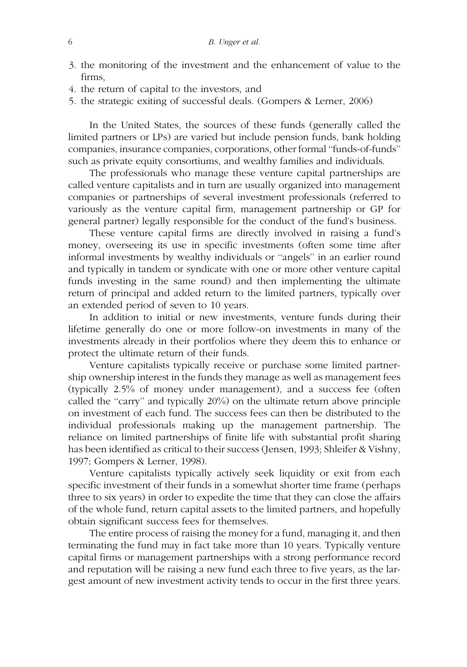- 3. the monitoring of the investment and the enhancement of value to the firms,
- 4. the return of capital to the investors, and
- 5. the strategic exiting of successful deals. (Gompers & Lerner, 2006)

In the United States, the sources of these funds (generally called the limited partners or LPs) are varied but include pension funds, bank holding companies, insurance companies, corporations, other formal ''funds-of-funds'' such as private equity consortiums, and wealthy families and individuals.

The professionals who manage these venture capital partnerships are called venture capitalists and in turn are usually organized into management companies or partnerships of several investment professionals (referred to variously as the venture capital firm, management partnership or GP for general partner) legally responsible for the conduct of the fund's business.

These venture capital firms are directly involved in raising a fund's money, overseeing its use in specific investments (often some time after informal investments by wealthy individuals or ''angels'' in an earlier round and typically in tandem or syndicate with one or more other venture capital funds investing in the same round) and then implementing the ultimate return of principal and added return to the limited partners, typically over an extended period of seven to 10 years.

In addition to initial or new investments, venture funds during their lifetime generally do one or more follow-on investments in many of the investments already in their portfolios where they deem this to enhance or protect the ultimate return of their funds.

Venture capitalists typically receive or purchase some limited partnership ownership interest in the funds they manage as well as management fees (typically 2.5% of money under management), and a success fee (often called the ''carry'' and typically 20%) on the ultimate return above principle on investment of each fund. The success fees can then be distributed to the individual professionals making up the management partnership. The reliance on limited partnerships of finite life with substantial profit sharing has been identified as critical to their success (Jensen, 1993; Shleifer & Vishny, 1997; Gompers & Lerner, 1998).

Venture capitalists typically actively seek liquidity or exit from each specific investment of their funds in a somewhat shorter time frame (perhaps three to six years) in order to expedite the time that they can close the affairs of the whole fund, return capital assets to the limited partners, and hopefully obtain significant success fees for themselves.

The entire process of raising the money for a fund, managing it, and then terminating the fund may in fact take more than 10 years. Typically venture capital firms or management partnerships with a strong performance record and reputation will be raising a new fund each three to five years, as the largest amount of new investment activity tends to occur in the first three years.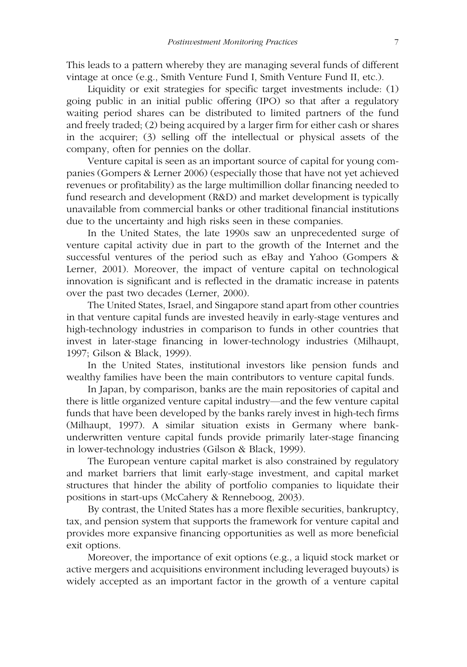This leads to a pattern whereby they are managing several funds of different vintage at once (e.g., Smith Venture Fund I, Smith Venture Fund II, etc.).

Liquidity or exit strategies for specific target investments include: (1) going public in an initial public offering (IPO) so that after a regulatory waiting period shares can be distributed to limited partners of the fund and freely traded; (2) being acquired by a larger firm for either cash or shares in the acquirer; (3) selling off the intellectual or physical assets of the company, often for pennies on the dollar.

Venture capital is seen as an important source of capital for young companies (Gompers & Lerner 2006) (especially those that have not yet achieved revenues or profitability) as the large multimillion dollar financing needed to fund research and development (R&D) and market development is typically unavailable from commercial banks or other traditional financial institutions due to the uncertainty and high risks seen in these companies.

In the United States, the late 1990s saw an unprecedented surge of venture capital activity due in part to the growth of the Internet and the successful ventures of the period such as eBay and Yahoo (Gompers & Lerner, 2001). Moreover, the impact of venture capital on technological innovation is significant and is reflected in the dramatic increase in patents over the past two decades (Lerner, 2000).

The United States, Israel, and Singapore stand apart from other countries in that venture capital funds are invested heavily in early-stage ventures and high-technology industries in comparison to funds in other countries that invest in later-stage financing in lower-technology industries (Milhaupt, 1997; Gilson & Black, 1999).

In the United States, institutional investors like pension funds and wealthy families have been the main contributors to venture capital funds.

In Japan, by comparison, banks are the main repositories of capital and there is little organized venture capital industry—and the few venture capital funds that have been developed by the banks rarely invest in high-tech firms (Milhaupt, 1997). A similar situation exists in Germany where bankunderwritten venture capital funds provide primarily later-stage financing in lower-technology industries (Gilson & Black, 1999).

The European venture capital market is also constrained by regulatory and market barriers that limit early-stage investment, and capital market structures that hinder the ability of portfolio companies to liquidate their positions in start-ups (McCahery & Renneboog, 2003).

By contrast, the United States has a more flexible securities, bankruptcy, tax, and pension system that supports the framework for venture capital and provides more expansive financing opportunities as well as more beneficial exit options.

Moreover, the importance of exit options (e.g., a liquid stock market or active mergers and acquisitions environment including leveraged buyouts) is widely accepted as an important factor in the growth of a venture capital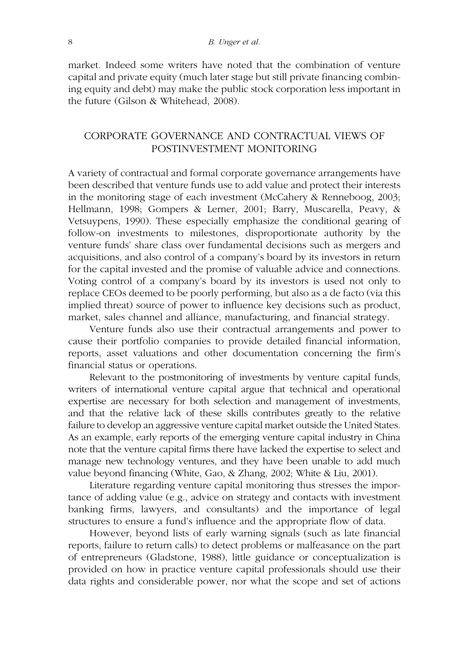market. Indeed some writers have noted that the combination of venture capital and private equity (much later stage but still private financing combining equity and debt) may make the public stock corporation less important in the future (Gilson & Whitehead, 2008).

## CORPORATE GOVERNANCE AND CONTRACTUAL VIEWS OF POSTINVESTMENT MONITORING

A variety of contractual and formal corporate governance arrangements have been described that venture funds use to add value and protect their interests in the monitoring stage of each investment (McCahery & Renneboog, 2003; Hellmann, 1998; Gompers & Lerner, 2001; Barry, Muscarella, Peavy, & Vetsuypens, 1990). These especially emphasize the conditional gearing of follow-on investments to milestones, disproportionate authority by the venture funds' share class over fundamental decisions such as mergers and acquisitions, and also control of a company's board by its investors in return for the capital invested and the promise of valuable advice and connections. Voting control of a company's board by its investors is used not only to replace CEOs deemed to be poorly performing, but also as a de facto (via this implied threat) source of power to influence key decisions such as product, market, sales channel and alliance, manufacturing, and financial strategy.

Venture funds also use their contractual arrangements and power to cause their portfolio companies to provide detailed financial information, reports, asset valuations and other documentation concerning the firm's financial status or operations.

Relevant to the postmonitoring of investments by venture capital funds, writers of international venture capital argue that technical and operational expertise are necessary for both selection and management of investments, and that the relative lack of these skills contributes greatly to the relative failure to develop an aggressive venture capital market outside the United States. As an example, early reports of the emerging venture capital industry in China note that the venture capital firms there have lacked the expertise to select and manage new technology ventures, and they have been unable to add much value beyond financing (White, Gao, & Zhang, 2002; White & Liu, 2001).

Literature regarding venture capital monitoring thus stresses the importance of adding value (e.g., advice on strategy and contacts with investment banking firms, lawyers, and consultants) and the importance of legal structures to ensure a fund's influence and the appropriate flow of data.

However, beyond lists of early warning signals (such as late financial reports, failure to return calls) to detect problems or malfeasance on the part of entrepreneurs (Gladstone, 1988), little guidance or conceptualization is provided on how in practice venture capital professionals should use their data rights and considerable power, nor what the scope and set of actions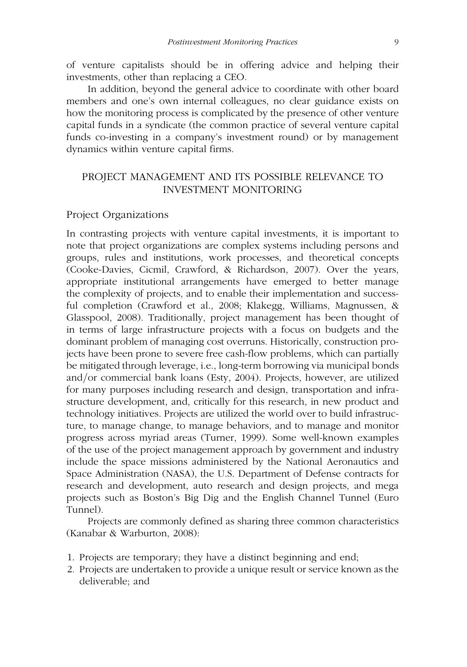of venture capitalists should be in offering advice and helping their investments, other than replacing a CEO.

In addition, beyond the general advice to coordinate with other board members and one's own internal colleagues, no clear guidance exists on how the monitoring process is complicated by the presence of other venture capital funds in a syndicate (the common practice of several venture capital funds co-investing in a company's investment round) or by management dynamics within venture capital firms.

# PROJECT MANAGEMENT AND ITS POSSIBLE RELEVANCE TO INVESTMENT MONITORING

## Project Organizations

In contrasting projects with venture capital investments, it is important to note that project organizations are complex systems including persons and groups, rules and institutions, work processes, and theoretical concepts (Cooke-Davies, Cicmil, Crawford, & Richardson, 2007). Over the years, appropriate institutional arrangements have emerged to better manage the complexity of projects, and to enable their implementation and successful completion (Crawford et al., 2008; Klakegg, Williams, Magnussen, & Glasspool, 2008). Traditionally, project management has been thought of in terms of large infrastructure projects with a focus on budgets and the dominant problem of managing cost overruns. Historically, construction projects have been prone to severe free cash-flow problems, which can partially be mitigated through leverage, i.e., long-term borrowing via municipal bonds and/or commercial bank loans (Esty, 2004). Projects, however, are utilized for many purposes including research and design, transportation and infrastructure development, and, critically for this research, in new product and technology initiatives. Projects are utilized the world over to build infrastructure, to manage change, to manage behaviors, and to manage and monitor progress across myriad areas (Turner, 1999). Some well-known examples of the use of the project management approach by government and industry include the space missions administered by the National Aeronautics and Space Administration (NASA), the U.S. Department of Defense contracts for research and development, auto research and design projects, and mega projects such as Boston's Big Dig and the English Channel Tunnel (Euro Tunnel).

Projects are commonly defined as sharing three common characteristics (Kanabar & Warburton, 2008):

- 1. Projects are temporary; they have a distinct beginning and end;
- 2. Projects are undertaken to provide a unique result or service known as the deliverable; and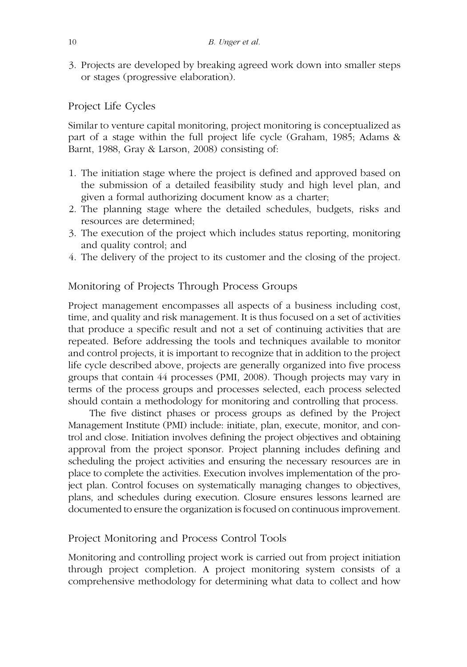3. Projects are developed by breaking agreed work down into smaller steps or stages (progressive elaboration).

## Project Life Cycles

Similar to venture capital monitoring, project monitoring is conceptualized as part of a stage within the full project life cycle (Graham, 1985; Adams & Barnt, 1988, Gray & Larson, 2008) consisting of:

- 1. The initiation stage where the project is defined and approved based on the submission of a detailed feasibility study and high level plan, and given a formal authorizing document know as a charter;
- 2. The planning stage where the detailed schedules, budgets, risks and resources are determined;
- 3. The execution of the project which includes status reporting, monitoring and quality control; and
- 4. The delivery of the project to its customer and the closing of the project.

## Monitoring of Projects Through Process Groups

Project management encompasses all aspects of a business including cost, time, and quality and risk management. It is thus focused on a set of activities that produce a specific result and not a set of continuing activities that are repeated. Before addressing the tools and techniques available to monitor and control projects, it is important to recognize that in addition to the project life cycle described above, projects are generally organized into five process groups that contain 44 processes (PMI, 2008). Though projects may vary in terms of the process groups and processes selected, each process selected should contain a methodology for monitoring and controlling that process.

The five distinct phases or process groups as defined by the Project Management Institute (PMI) include: initiate, plan, execute, monitor, and control and close. Initiation involves defining the project objectives and obtaining approval from the project sponsor. Project planning includes defining and scheduling the project activities and ensuring the necessary resources are in place to complete the activities. Execution involves implementation of the project plan. Control focuses on systematically managing changes to objectives, plans, and schedules during execution. Closure ensures lessons learned are documented to ensure the organization is focused on continuous improvement.

## Project Monitoring and Process Control Tools

Monitoring and controlling project work is carried out from project initiation through project completion. A project monitoring system consists of a comprehensive methodology for determining what data to collect and how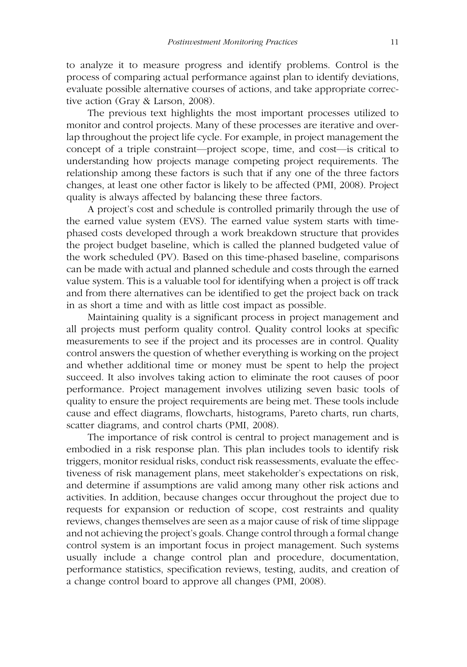to analyze it to measure progress and identify problems. Control is the process of comparing actual performance against plan to identify deviations, evaluate possible alternative courses of actions, and take appropriate corrective action (Gray & Larson, 2008).

The previous text highlights the most important processes utilized to monitor and control projects. Many of these processes are iterative and overlap throughout the project life cycle. For example, in project management the concept of a triple constraint—project scope, time, and cost—is critical to understanding how projects manage competing project requirements. The relationship among these factors is such that if any one of the three factors changes, at least one other factor is likely to be affected (PMI, 2008). Project quality is always affected by balancing these three factors.

A project's cost and schedule is controlled primarily through the use of the earned value system (EVS). The earned value system starts with timephased costs developed through a work breakdown structure that provides the project budget baseline, which is called the planned budgeted value of the work scheduled (PV). Based on this time-phased baseline, comparisons can be made with actual and planned schedule and costs through the earned value system. This is a valuable tool for identifying when a project is off track and from there alternatives can be identified to get the project back on track in as short a time and with as little cost impact as possible.

Maintaining quality is a significant process in project management and all projects must perform quality control. Quality control looks at specific measurements to see if the project and its processes are in control. Quality control answers the question of whether everything is working on the project and whether additional time or money must be spent to help the project succeed. It also involves taking action to eliminate the root causes of poor performance. Project management involves utilizing seven basic tools of quality to ensure the project requirements are being met. These tools include cause and effect diagrams, flowcharts, histograms, Pareto charts, run charts, scatter diagrams, and control charts (PMI, 2008).

The importance of risk control is central to project management and is embodied in a risk response plan. This plan includes tools to identify risk triggers, monitor residual risks, conduct risk reassessments, evaluate the effectiveness of risk management plans, meet stakeholder's expectations on risk, and determine if assumptions are valid among many other risk actions and activities. In addition, because changes occur throughout the project due to requests for expansion or reduction of scope, cost restraints and quality reviews, changes themselves are seen as a major cause of risk of time slippage and not achieving the project's goals. Change control through a formal change control system is an important focus in project management. Such systems usually include a change control plan and procedure, documentation, performance statistics, specification reviews, testing, audits, and creation of a change control board to approve all changes (PMI, 2008).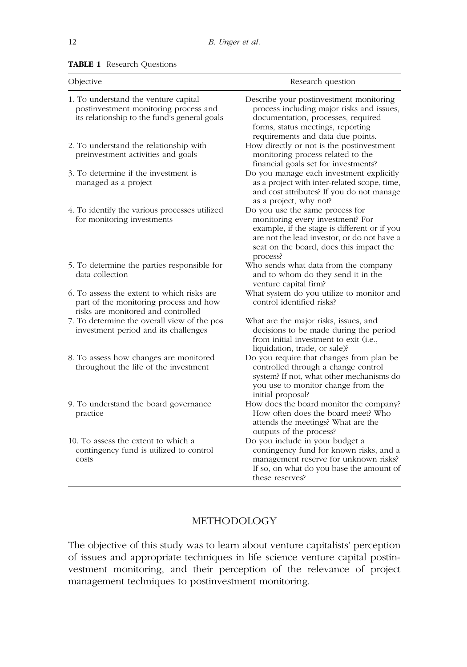| <b>TABLE 1</b> Research Questions |  |
|-----------------------------------|--|
|-----------------------------------|--|

| Objective                                                                                                                     | Research question                                                                                                                                                                                                         |
|-------------------------------------------------------------------------------------------------------------------------------|---------------------------------------------------------------------------------------------------------------------------------------------------------------------------------------------------------------------------|
| 1. To understand the venture capital<br>postinvestment monitoring process and<br>its relationship to the fund's general goals | Describe your postinvestment monitoring<br>process including major risks and issues,<br>documentation, processes, required<br>forms, status meetings, reporting<br>requirements and data due points.                      |
| 2. To understand the relationship with<br>preinvestment activities and goals                                                  | How directly or not is the postinvestment<br>monitoring process related to the<br>financial goals set for investments?                                                                                                    |
| 3. To determine if the investment is<br>managed as a project                                                                  | Do you manage each investment explicitly<br>as a project with inter-related scope, time,<br>and cost attributes? If you do not manage<br>as a project, why not?                                                           |
| 4. To identify the various processes utilized<br>for monitoring investments                                                   | Do you use the same process for<br>monitoring every investment? For<br>example, if the stage is different or if you<br>are not the lead investor, or do not have a<br>seat on the board, does this impact the<br>process? |
| 5. To determine the parties responsible for<br>data collection                                                                | Who sends what data from the company<br>and to whom do they send it in the<br>venture capital firm?                                                                                                                       |
| 6. To assess the extent to which risks are<br>part of the monitoring process and how<br>risks are monitored and controlled    | What system do you utilize to monitor and<br>control identified risks?                                                                                                                                                    |
| 7. To determine the overall view of the pos<br>investment period and its challenges                                           | What are the major risks, issues, and<br>decisions to be made during the period<br>from initial investment to exit (i.e.,<br>liquidation, trade, or sale)?                                                                |
| 8. To assess how changes are monitored<br>throughout the life of the investment                                               | Do you require that changes from plan be<br>controlled through a change control<br>system? If not, what other mechanisms do<br>you use to monitor change from the<br>initial proposal?                                    |
| 9. To understand the board governance<br>practice                                                                             | How does the board monitor the company?<br>How often does the board meet? Who<br>attends the meetings? What are the<br>outputs of the process?                                                                            |
| 10. To assess the extent to which a<br>contingency fund is utilized to control<br>costs                                       | Do you include in your budget a<br>contingency fund for known risks, and a<br>management reserve for unknown risks?<br>If so, on what do you base the amount of<br>these reserves?                                        |

### METHODOLOGY

The objective of this study was to learn about venture capitalists' perception of issues and appropriate techniques in life science venture capital postinvestment monitoring, and their perception of the relevance of project management techniques to postinvestment monitoring.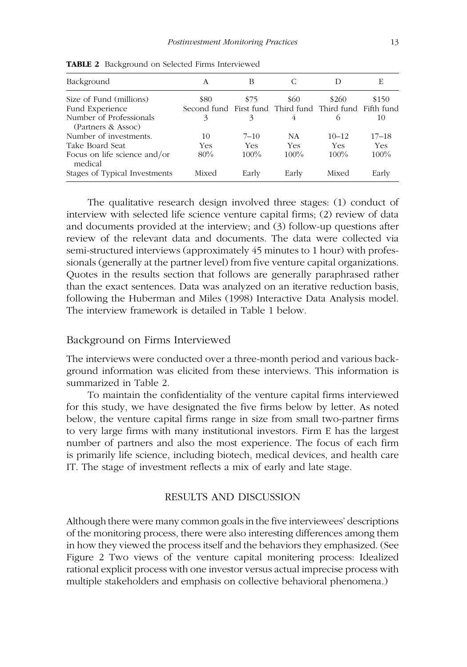| Background                                    | A                                                       | B        |           | D         | E          |
|-----------------------------------------------|---------------------------------------------------------|----------|-----------|-----------|------------|
| Size of Fund (millions)                       | \$80                                                    | \$75     | \$60      | \$260     | \$150      |
| Fund Experience                               | Second fund First fund Third fund Third fund Fifth fund |          |           |           |            |
| Number of Professionals<br>(Partners & Assoc) | 3                                                       | 3        | 4         | ่ (า      | 10         |
| Number of investments.                        | 10                                                      | $7 - 10$ | <b>NA</b> | $10 - 12$ | $17 - 18$  |
| Take Board Seat                               | Yes                                                     | Yes      | Yes       | Yes       | <b>Yes</b> |
| Focus on life science and/or<br>medical       | 80%                                                     | $100\%$  | $100\%$   | $100\%$   | $100\%$    |
| Stages of Typical Investments                 | Mixed                                                   | Early    | Early     | Mixed     | Early      |

TABLE 2 Background on Selected Firms Interviewed

The qualitative research design involved three stages: (1) conduct of interview with selected life science venture capital firms; (2) review of data and documents provided at the interview; and (3) follow-up questions after review of the relevant data and documents. The data were collected via semi-structured interviews (approximately 45 minutes to 1 hour) with professionals (generally at the partner level) from five venture capital organizations. Quotes in the results section that follows are generally paraphrased rather than the exact sentences. Data was analyzed on an iterative reduction basis, following the Huberman and Miles (1998) Interactive Data Analysis model. The interview framework is detailed in Table 1 below.

#### Background on Firms Interviewed

The interviews were conducted over a three-month period and various background information was elicited from these interviews. This information is summarized in Table 2.

To maintain the confidentiality of the venture capital firms interviewed for this study, we have designated the five firms below by letter. As noted below, the venture capital firms range in size from small two-partner firms to very large firms with many institutional investors. Firm E has the largest number of partners and also the most experience. The focus of each firm is primarily life science, including biotech, medical devices, and health care IT. The stage of investment reflects a mix of early and late stage.

## RESULTS AND DISCUSSION

Although there were many common goals in the five interviewees' descriptions of the monitoring process, there were also interesting differences among them in how they viewed the process itself and the behaviors they emphasized. (See Figure 2 Two views of the venture capital monitering process: Idealized rational explicit process with one investor versus actual imprecise process with multiple stakeholders and emphasis on collective behavioral phenomena.)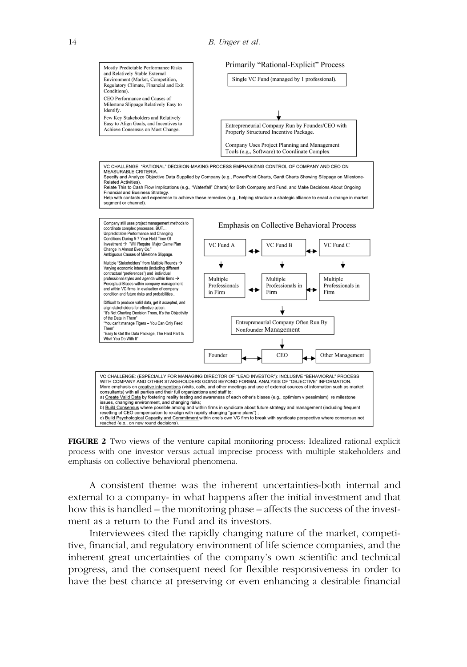

FIGURE 2 Two views of the venture capital monitoring process: Idealized rational explicit process with one investor versus actual imprecise process with multiple stakeholders and emphasis on collective behavioral phenomena.

A consistent theme was the inherent uncertainties-both internal and external to a company- in what happens after the initial investment and that how this is handled – the monitoring phase – affects the success of the investment as a return to the Fund and its investors.

Interviewees cited the rapidly changing nature of the market, competitive, financial, and regulatory environment of life science companies, and the inherent great uncertainties of the company's own scientific and technical progress, and the consequent need for flexible responsiveness in order to have the best chance at preserving or even enhancing a desirable financial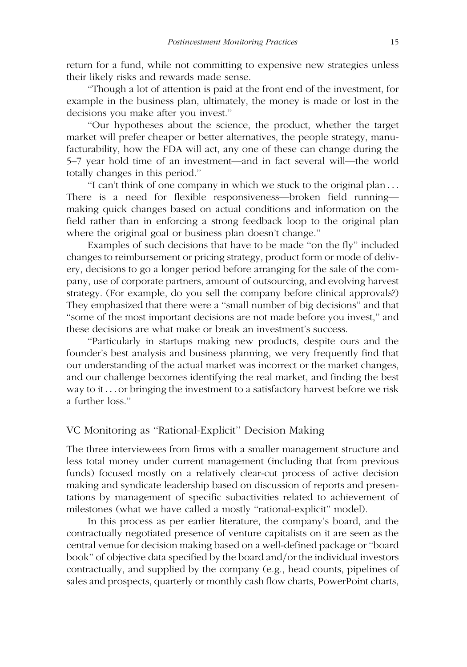return for a fund, while not committing to expensive new strategies unless their likely risks and rewards made sense.

''Though a lot of attention is paid at the front end of the investment, for example in the business plan, ultimately, the money is made or lost in the decisions you make after you invest.''

''Our hypotheses about the science, the product, whether the target market will prefer cheaper or better alternatives, the people strategy, manufacturability, how the FDA will act, any one of these can change during the 5–7 year hold time of an investment—and in fact several will—the world totally changes in this period.''

''I can't think of one company in which we stuck to the original plan ... There is a need for flexible responsiveness—broken field running making quick changes based on actual conditions and information on the field rather than in enforcing a strong feedback loop to the original plan where the original goal or business plan doesn't change.''

Examples of such decisions that have to be made ''on the fly'' included changes to reimbursement or pricing strategy, product form or mode of delivery, decisions to go a longer period before arranging for the sale of the company, use of corporate partners, amount of outsourcing, and evolving harvest strategy. (For example, do you sell the company before clinical approvals?) They emphasized that there were a ''small number of big decisions'' and that ''some of the most important decisions are not made before you invest,'' and these decisions are what make or break an investment's success.

''Particularly in startups making new products, despite ours and the founder's best analysis and business planning, we very frequently find that our understanding of the actual market was incorrect or the market changes, and our challenge becomes identifying the real market, and finding the best way to it ... or bringing the investment to a satisfactory harvest before we risk a further loss.''

## VC Monitoring as ''Rational-Explicit'' Decision Making

The three interviewees from firms with a smaller management structure and less total money under current management (including that from previous funds) focused mostly on a relatively clear-cut process of active decision making and syndicate leadership based on discussion of reports and presentations by management of specific subactivities related to achievement of milestones (what we have called a mostly ''rational-explicit'' model).

In this process as per earlier literature, the company's board, and the contractually negotiated presence of venture capitalists on it are seen as the central venue for decision making based on a well-defined package or ''board book" of objective data specified by the board and/or the individual investors contractually, and supplied by the company (e.g., head counts, pipelines of sales and prospects, quarterly or monthly cash flow charts, PowerPoint charts,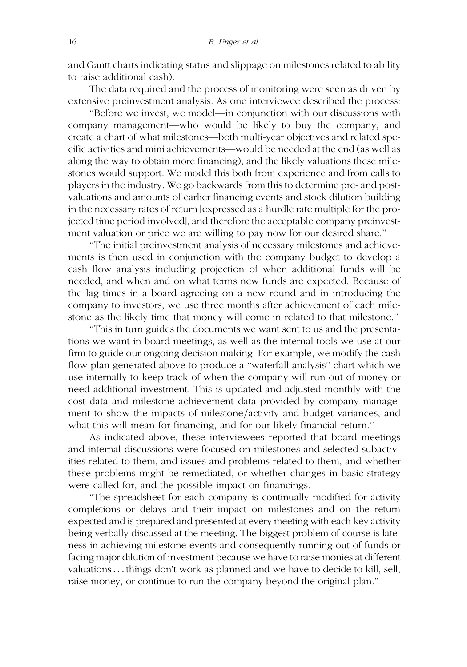and Gantt charts indicating status and slippage on milestones related to ability to raise additional cash).

The data required and the process of monitoring were seen as driven by extensive preinvestment analysis. As one interviewee described the process:

''Before we invest, we model—in conjunction with our discussions with company management—who would be likely to buy the company, and create a chart of what milestones—both multi-year objectives and related specific activities and mini achievements—would be needed at the end (as well as along the way to obtain more financing), and the likely valuations these milestones would support. We model this both from experience and from calls to players in the industry. We go backwards from this to determine pre- and postvaluations and amounts of earlier financing events and stock dilution building in the necessary rates of return [expressed as a hurdle rate multiple for the projected time period involved], and therefore the acceptable company preinvestment valuation or price we are willing to pay now for our desired share.''

''The initial preinvestment analysis of necessary milestones and achievements is then used in conjunction with the company budget to develop a cash flow analysis including projection of when additional funds will be needed, and when and on what terms new funds are expected. Because of the lag times in a board agreeing on a new round and in introducing the company to investors, we use three months after achievement of each milestone as the likely time that money will come in related to that milestone.''

''This in turn guides the documents we want sent to us and the presentations we want in board meetings, as well as the internal tools we use at our firm to guide our ongoing decision making. For example, we modify the cash flow plan generated above to produce a ''waterfall analysis'' chart which we use internally to keep track of when the company will run out of money or need additional investment. This is updated and adjusted monthly with the cost data and milestone achievement data provided by company management to show the impacts of milestone/activity and budget variances, and what this will mean for financing, and for our likely financial return."

As indicated above, these interviewees reported that board meetings and internal discussions were focused on milestones and selected subactivities related to them, and issues and problems related to them, and whether these problems might be remediated, or whether changes in basic strategy were called for, and the possible impact on financings.

''The spreadsheet for each company is continually modified for activity completions or delays and their impact on milestones and on the return expected and is prepared and presented at every meeting with each key activity being verbally discussed at the meeting. The biggest problem of course is lateness in achieving milestone events and consequently running out of funds or facing major dilution of investment because we have to raise monies at different valuations... things don't work as planned and we have to decide to kill, sell, raise money, or continue to run the company beyond the original plan.''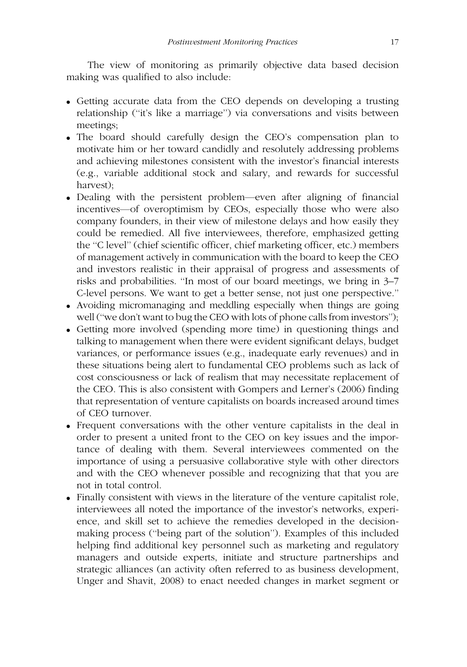The view of monitoring as primarily objective data based decision making was qualified to also include:

- . Getting accurate data from the CEO depends on developing a trusting relationship (''it's like a marriage'') via conversations and visits between meetings;
- . The board should carefully design the CEO's compensation plan to motivate him or her toward candidly and resolutely addressing problems and achieving milestones consistent with the investor's financial interests (e.g., variable additional stock and salary, and rewards for successful harvest);
- . Dealing with the persistent problem—even after aligning of financial incentives—of overoptimism by CEOs, especially those who were also company founders, in their view of milestone delays and how easily they could be remedied. All five interviewees, therefore, emphasized getting the ''C level'' (chief scientific officer, chief marketing officer, etc.) members of management actively in communication with the board to keep the CEO and investors realistic in their appraisal of progress and assessments of risks and probabilities. ''In most of our board meetings, we bring in 3–7 C-level persons. We want to get a better sense, not just one perspective.''
- . Avoiding micromanaging and meddling especially when things are going well (''we don't want to bug the CEO with lots of phone calls from investors'');
- . Getting more involved (spending more time) in questioning things and talking to management when there were evident significant delays, budget variances, or performance issues (e.g., inadequate early revenues) and in these situations being alert to fundamental CEO problems such as lack of cost consciousness or lack of realism that may necessitate replacement of the CEO. This is also consistent with Gompers and Lerner's (2006) finding that representation of venture capitalists on boards increased around times of CEO turnover.
- . Frequent conversations with the other venture capitalists in the deal in order to present a united front to the CEO on key issues and the importance of dealing with them. Several interviewees commented on the importance of using a persuasive collaborative style with other directors and with the CEO whenever possible and recognizing that that you are not in total control.
- . Finally consistent with views in the literature of the venture capitalist role, interviewees all noted the importance of the investor's networks, experience, and skill set to achieve the remedies developed in the decisionmaking process (''being part of the solution''). Examples of this included helping find additional key personnel such as marketing and regulatory managers and outside experts, initiate and structure partnerships and strategic alliances (an activity often referred to as business development, Unger and Shavit, 2008) to enact needed changes in market segment or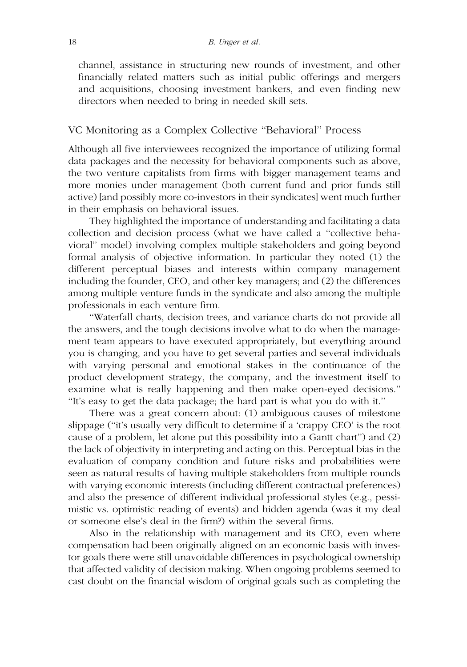channel, assistance in structuring new rounds of investment, and other financially related matters such as initial public offerings and mergers and acquisitions, choosing investment bankers, and even finding new directors when needed to bring in needed skill sets.

## VC Monitoring as a Complex Collective ''Behavioral'' Process

Although all five interviewees recognized the importance of utilizing formal data packages and the necessity for behavioral components such as above, the two venture capitalists from firms with bigger management teams and more monies under management (both current fund and prior funds still active) [and possibly more co-investors in their syndicates] went much further in their emphasis on behavioral issues.

They highlighted the importance of understanding and facilitating a data collection and decision process (what we have called a ''collective behavioral'' model) involving complex multiple stakeholders and going beyond formal analysis of objective information. In particular they noted (1) the different perceptual biases and interests within company management including the founder, CEO, and other key managers; and (2) the differences among multiple venture funds in the syndicate and also among the multiple professionals in each venture firm.

''Waterfall charts, decision trees, and variance charts do not provide all the answers, and the tough decisions involve what to do when the management team appears to have executed appropriately, but everything around you is changing, and you have to get several parties and several individuals with varying personal and emotional stakes in the continuance of the product development strategy, the company, and the investment itself to examine what is really happening and then make open-eyed decisions.'' ''It's easy to get the data package; the hard part is what you do with it.''

There was a great concern about: (1) ambiguous causes of milestone slippage (''it's usually very difficult to determine if a 'crappy CEO' is the root cause of a problem, let alone put this possibility into a Gantt chart'') and (2) the lack of objectivity in interpreting and acting on this. Perceptual bias in the evaluation of company condition and future risks and probabilities were seen as natural results of having multiple stakeholders from multiple rounds with varying economic interests (including different contractual preferences) and also the presence of different individual professional styles (e.g., pessimistic vs. optimistic reading of events) and hidden agenda (was it my deal or someone else's deal in the firm?) within the several firms.

Also in the relationship with management and its CEO, even where compensation had been originally aligned on an economic basis with investor goals there were still unavoidable differences in psychological ownership that affected validity of decision making. When ongoing problems seemed to cast doubt on the financial wisdom of original goals such as completing the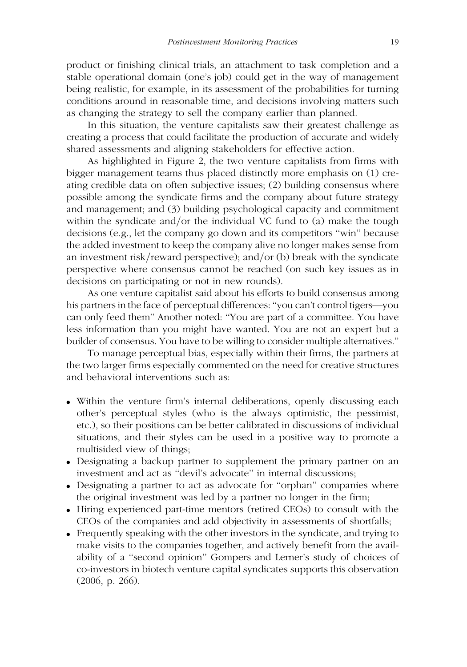product or finishing clinical trials, an attachment to task completion and a stable operational domain (one's job) could get in the way of management being realistic, for example, in its assessment of the probabilities for turning conditions around in reasonable time, and decisions involving matters such as changing the strategy to sell the company earlier than planned.

In this situation, the venture capitalists saw their greatest challenge as creating a process that could facilitate the production of accurate and widely shared assessments and aligning stakeholders for effective action.

As highlighted in Figure 2, the two venture capitalists from firms with bigger management teams thus placed distinctly more emphasis on (1) creating credible data on often subjective issues; (2) building consensus where possible among the syndicate firms and the company about future strategy and management; and (3) building psychological capacity and commitment within the syndicate and/or the individual VC fund to  $(a)$  make the tough decisions (e.g., let the company go down and its competitors ''win'' because the added investment to keep the company alive no longer makes sense from an investment risk/reward perspective); and/or (b) break with the syndicate perspective where consensus cannot be reached (on such key issues as in decisions on participating or not in new rounds).

As one venture capitalist said about his efforts to build consensus among his partners in the face of perceptual differences: ''you can't control tigers—you can only feed them'' Another noted: ''You are part of a committee. You have less information than you might have wanted. You are not an expert but a builder of consensus. You have to be willing to consider multiple alternatives.''

To manage perceptual bias, especially within their firms, the partners at the two larger firms especially commented on the need for creative structures and behavioral interventions such as:

- . Within the venture firm's internal deliberations, openly discussing each other's perceptual styles (who is the always optimistic, the pessimist, etc.), so their positions can be better calibrated in discussions of individual situations, and their styles can be used in a positive way to promote a multisided view of things;
- . Designating a backup partner to supplement the primary partner on an investment and act as ''devil's advocate'' in internal discussions;
- . Designating a partner to act as advocate for ''orphan'' companies where the original investment was led by a partner no longer in the firm;
- . Hiring experienced part-time mentors (retired CEOs) to consult with the CEOs of the companies and add objectivity in assessments of shortfalls;
- . Frequently speaking with the other investors in the syndicate, and trying to make visits to the companies together, and actively benefit from the availability of a ''second opinion'' Gompers and Lerner's study of choices of co-investors in biotech venture capital syndicates supports this observation (2006, p. 266).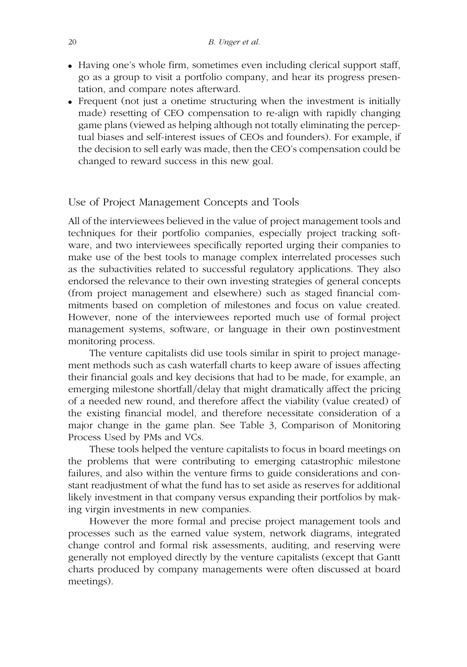- . Having one's whole firm, sometimes even including clerical support staff, go as a group to visit a portfolio company, and hear its progress presentation, and compare notes afterward.
- . Frequent (not just a onetime structuring when the investment is initially made) resetting of CEO compensation to re-align with rapidly changing game plans (viewed as helping although not totally eliminating the perceptual biases and self-interest issues of CEOs and founders). For example, if the decision to sell early was made, then the CEO's compensation could be changed to reward success in this new goal.

## Use of Project Management Concepts and Tools

All of the interviewees believed in the value of project management tools and techniques for their portfolio companies, especially project tracking software, and two interviewees specifically reported urging their companies to make use of the best tools to manage complex interrelated processes such as the subactivities related to successful regulatory applications. They also endorsed the relevance to their own investing strategies of general concepts (from project management and elsewhere) such as staged financial commitments based on completion of milestones and focus on value created. However, none of the interviewees reported much use of formal project management systems, software, or language in their own postinvestment monitoring process.

The venture capitalists did use tools similar in spirit to project management methods such as cash waterfall charts to keep aware of issues affecting their financial goals and key decisions that had to be made, for example, an emerging milestone shortfall/delay that might dramatically affect the pricing of a needed new round, and therefore affect the viability (value created) of the existing financial model, and therefore necessitate consideration of a major change in the game plan. See Table 3, Comparison of Monitoring Process Used by PMs and VCs.

These tools helped the venture capitalists to focus in board meetings on the problems that were contributing to emerging catastrophic milestone failures, and also within the venture firms to guide considerations and constant readjustment of what the fund has to set aside as reserves for additional likely investment in that company versus expanding their portfolios by making virgin investments in new companies.

However the more formal and precise project management tools and processes such as the earned value system, network diagrams, integrated change control and formal risk assessments, auditing, and reserving were generally not employed directly by the venture capitalists (except that Gantt charts produced by company managements were often discussed at board meetings).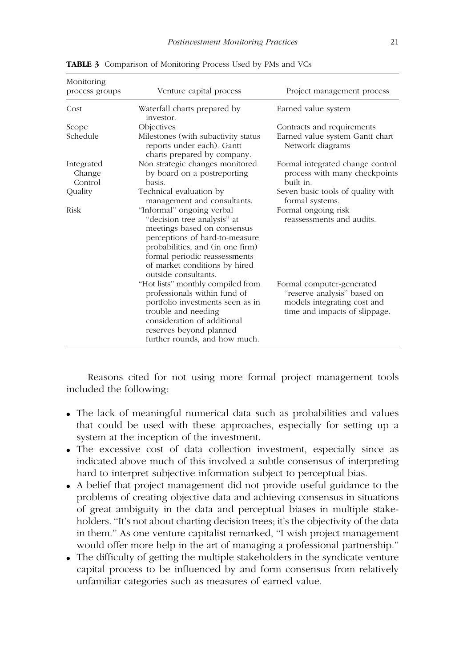| Monitoring<br>process groups    | Venture capital process                                                                                                                                                                                                                                 | Project management process                                                                                               |
|---------------------------------|---------------------------------------------------------------------------------------------------------------------------------------------------------------------------------------------------------------------------------------------------------|--------------------------------------------------------------------------------------------------------------------------|
| Cost                            | Waterfall charts prepared by<br>investor.                                                                                                                                                                                                               | Earned value system                                                                                                      |
| Scope                           | Objectives                                                                                                                                                                                                                                              | Contracts and requirements                                                                                               |
| Schedule                        | Milestones (with subactivity status<br>reports under each). Gantt<br>charts prepared by company.                                                                                                                                                        | Earned value system Gantt chart<br>Network diagrams                                                                      |
| Integrated<br>Change<br>Control | Non strategic changes monitored<br>by board on a postreporting<br>basis.                                                                                                                                                                                | Formal integrated change control<br>process with many checkpoints<br>built in.                                           |
| Quality                         | Technical evaluation by<br>management and consultants.                                                                                                                                                                                                  | Seven basic tools of quality with<br>formal systems.                                                                     |
| Risk                            | "Informal" ongoing verbal<br>"decision tree analysis" at<br>meetings based on consensus<br>perceptions of hard-to-measure<br>probabilities, and (in one firm)<br>formal periodic reassessments<br>of market conditions by hired<br>outside consultants. | Formal ongoing risk<br>reassessments and audits.                                                                         |
|                                 | "Hot lists" monthly compiled from<br>professionals within fund of<br>portfolio investments seen as in<br>trouble and needing<br>consideration of additional<br>reserves beyond planned<br>further rounds, and how much.                                 | Formal computer-generated<br>"reserve analysis" based on<br>models integrating cost and<br>time and impacts of slippage. |

TABLE 3 Comparison of Monitoring Process Used by PMs and VCs

Reasons cited for not using more formal project management tools included the following:

- . The lack of meaningful numerical data such as probabilities and values that could be used with these approaches, especially for setting up a system at the inception of the investment.
- . The excessive cost of data collection investment, especially since as indicated above much of this involved a subtle consensus of interpreting hard to interpret subjective information subject to perceptual bias.
- . A belief that project management did not provide useful guidance to the problems of creating objective data and achieving consensus in situations of great ambiguity in the data and perceptual biases in multiple stakeholders. ''It's not about charting decision trees; it's the objectivity of the data in them.'' As one venture capitalist remarked, ''I wish project management would offer more help in the art of managing a professional partnership.''
- . The difficulty of getting the multiple stakeholders in the syndicate venture capital process to be influenced by and form consensus from relatively unfamiliar categories such as measures of earned value.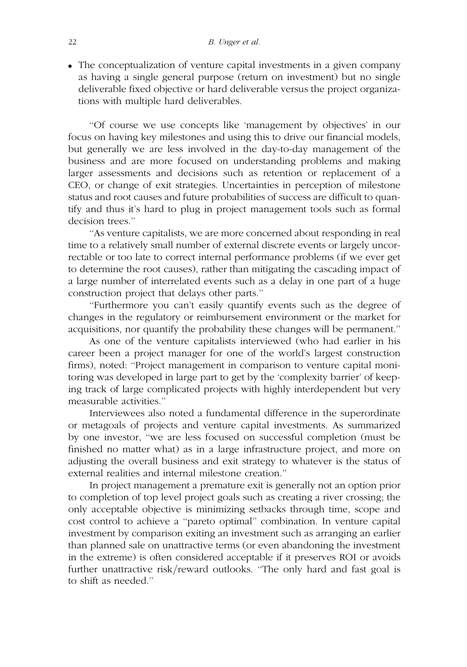. The conceptualization of venture capital investments in a given company as having a single general purpose (return on investment) but no single deliverable fixed objective or hard deliverable versus the project organizations with multiple hard deliverables.

''Of course we use concepts like 'management by objectives' in our focus on having key milestones and using this to drive our financial models, but generally we are less involved in the day-to-day management of the business and are more focused on understanding problems and making larger assessments and decisions such as retention or replacement of a CEO, or change of exit strategies. Uncertainties in perception of milestone status and root causes and future probabilities of success are difficult to quantify and thus it's hard to plug in project management tools such as formal decision trees.''

''As venture capitalists, we are more concerned about responding in real time to a relatively small number of external discrete events or largely uncorrectable or too late to correct internal performance problems (if we ever get to determine the root causes), rather than mitigating the cascading impact of a large number of interrelated events such as a delay in one part of a huge construction project that delays other parts.''

''Furthermore you can't easily quantify events such as the degree of changes in the regulatory or reimbursement environment or the market for acquisitions, nor quantify the probability these changes will be permanent.''

As one of the venture capitalists interviewed (who had earlier in his career been a project manager for one of the world's largest construction firms), noted: ''Project management in comparison to venture capital monitoring was developed in large part to get by the 'complexity barrier' of keeping track of large complicated projects with highly interdependent but very measurable activities.''

Interviewees also noted a fundamental difference in the superordinate or metagoals of projects and venture capital investments. As summarized by one investor, ''we are less focused on successful completion (must be finished no matter what) as in a large infrastructure project, and more on adjusting the overall business and exit strategy to whatever is the status of external realities and internal milestone creation.''

In project management a premature exit is generally not an option prior to completion of top level project goals such as creating a river crossing; the only acceptable objective is minimizing setbacks through time, scope and cost control to achieve a ''pareto optimal'' combination. In venture capital investment by comparison exiting an investment such as arranging an earlier than planned sale on unattractive terms (or even abandoning the investment in the extreme) is often considered acceptable if it preserves ROI or avoids further unattractive risk/reward outlooks. "The only hard and fast goal is to shift as needed.''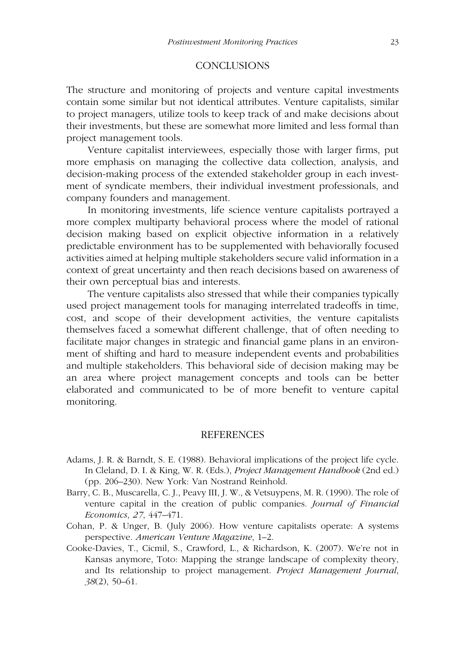#### **CONCLUSIONS**

The structure and monitoring of projects and venture capital investments contain some similar but not identical attributes. Venture capitalists, similar to project managers, utilize tools to keep track of and make decisions about their investments, but these are somewhat more limited and less formal than project management tools.

Venture capitalist interviewees, especially those with larger firms, put more emphasis on managing the collective data collection, analysis, and decision-making process of the extended stakeholder group in each investment of syndicate members, their individual investment professionals, and company founders and management.

In monitoring investments, life science venture capitalists portrayed a more complex multiparty behavioral process where the model of rational decision making based on explicit objective information in a relatively predictable environment has to be supplemented with behaviorally focused activities aimed at helping multiple stakeholders secure valid information in a context of great uncertainty and then reach decisions based on awareness of their own perceptual bias and interests.

The venture capitalists also stressed that while their companies typically used project management tools for managing interrelated tradeoffs in time, cost, and scope of their development activities, the venture capitalists themselves faced a somewhat different challenge, that of often needing to facilitate major changes in strategic and financial game plans in an environment of shifting and hard to measure independent events and probabilities and multiple stakeholders. This behavioral side of decision making may be an area where project management concepts and tools can be better elaborated and communicated to be of more benefit to venture capital monitoring.

#### **REFERENCES**

- Adams, J. R. & Barndt, S. E. (1988). Behavioral implications of the project life cycle. In Cleland, D. I. & King, W. R. (Eds.), Project Management Handbook (2nd ed.) (pp. 206–230). New York: Van Nostrand Reinhold.
- Barry, C. B., Muscarella, C. J., Peavy III, J. W., & Vetsuypens, M. R. (1990). The role of venture capital in the creation of public companies. Journal of Financial Economics, 27, 447–471.
- Cohan, P. & Unger, B. (July 2006). How venture capitalists operate: A systems perspective. American Venture Magazine, 1–2.
- Cooke-Davies, T., Cicmil, S., Crawford, L., & Richardson, K. (2007). We're not in Kansas anymore, Toto: Mapping the strange landscape of complexity theory, and Its relationship to project management. Project Management Journal, 38(2), 50–61.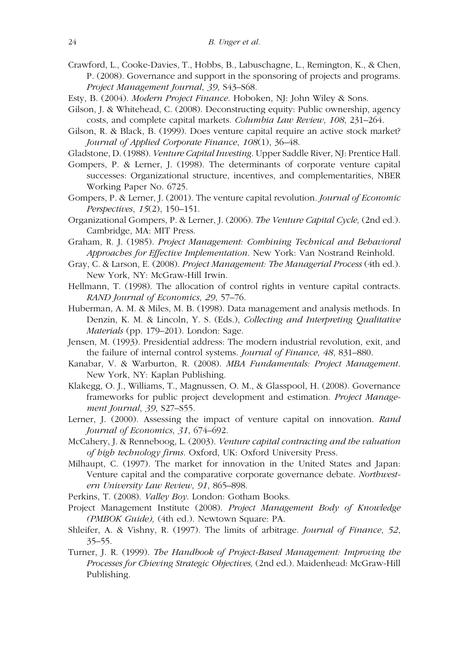- Crawford, L., Cooke-Davies, T., Hobbs, B., Labuschagne, L., Remington, K., & Chen, P. (2008). Governance and support in the sponsoring of projects and programs. Project Management Journal, 39, S43–S68.
- Esty, B. (2004). Modern Project Finance. Hoboken, NJ: John Wiley & Sons.
- Gilson, J. & Whitehead, C. (2008). Deconstructing equity: Public ownership, agency costs, and complete capital markets. Columbia Law Review, 108, 231–264.
- Gilson, R. & Black, B. (1999). Does venture capital require an active stock market? Journal of Applied Corporate Finance, 108(1), 36–48.
- Gladstone, D. (1988). Venture Capital Investing. Upper Saddle River, NJ: Prentice Hall.
- Gompers, P. & Lerner, J. (1998). The determinants of corporate venture capital successes: Organizational structure, incentives, and complementarities, NBER Working Paper No. 6725.
- Gompers, P. & Lerner, J. (2001). The venture capital revolution. Journal of Economic Perspectives, 15(2), 150–151.
- Organizational Gompers, P. & Lerner, J. (2006). The Venture Capital Cycle, (2nd ed.). Cambridge, MA: MIT Press.
- Graham, R. J. (1985). Project Management: Combining Technical and Behavioral Approaches for Effective Implementation. New York: Van Nostrand Reinhold.
- Gray, C. & Larson, E. (2008). Project Management: The Managerial Process (4th ed.). New York, NY: McGraw-Hill Irwin.
- Hellmann, T. (1998). The allocation of control rights in venture capital contracts. RAND Journal of Economics, 29, 57–76.
- Huberman, A. M. & Miles, M. B. (1998). Data management and analysis methods. In Denzin, K. M. & Lincoln, Y. S. (Eds.), Collecting and Interpreting Qualitative Materials (pp. 179–201). London: Sage.
- Jensen, M. (1993). Presidential address: The modern industrial revolution, exit, and the failure of internal control systems. Journal of Finance, 48, 831–880.
- Kanabar, V. & Warburton, R. (2008). MBA Fundamentals: Project Management. New York, NY: Kaplan Publishing.
- Klakegg, O. J., Williams, T., Magnussen, O. M., & Glasspool, H. (2008). Governance frameworks for public project development and estimation. Project Management Journal, 39, S27–S55.
- Lerner, J. (2000). Assessing the impact of venture capital on innovation. Rand Journal of Economics, 31, 674–692.
- McCahery, J. & Renneboog, L. (2003). Venture capital contracting and the valuation of high technology firms. Oxford, UK: Oxford University Press.
- Milhaupt, C. (1997). The market for innovation in the United States and Japan: Venture capital and the comparative corporate governance debate. Northwestern University Law Review, 91, 865–898.
- Perkins, T. (2008). Valley Boy. London: Gotham Books.
- Project Management Institute (2008). Project Management Body of Knowledge (PMBOK Guide), (4th ed.). Newtown Square: PA.
- Shleifer, A. & Vishny, R. (1997). The limits of arbitrage. Journal of Finance, 52, 35–55.
- Turner, J. R. (1999). The Handbook of Project-Based Management: Improving the Processes for Chieving Strategic Objectives, (2nd ed.). Maidenhead: McGraw-Hill Publishing.